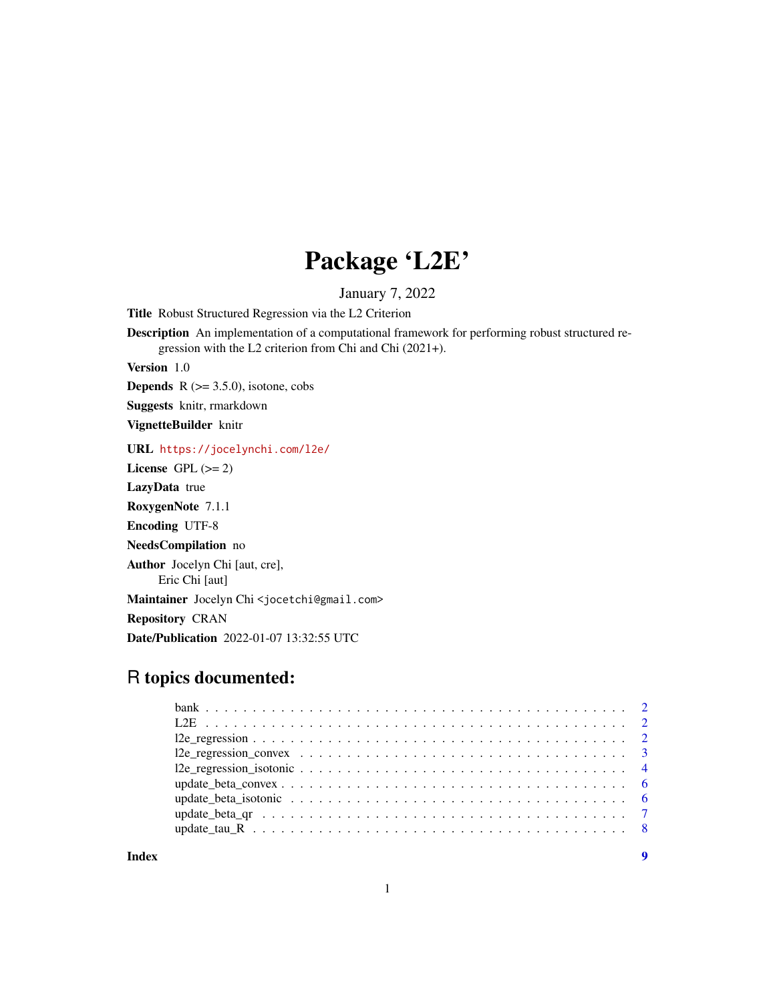## Package 'L2E'

January 7, 2022

Title Robust Structured Regression via the L2 Criterion

Description An implementation of a computational framework for performing robust structured regression with the L2 criterion from Chi and Chi (2021+).

Version 1.0

**Depends**  $R$  ( $>= 3.5.0$ ), isotone, cobs

Suggests knitr, rmarkdown

VignetteBuilder knitr

URL <https://jocelynchi.com/l2e/>

License GPL  $(>= 2)$ 

LazyData true

RoxygenNote 7.1.1

Encoding UTF-8

NeedsCompilation no

Author Jocelyn Chi [aut, cre], Eric Chi [aut]

Maintainer Jocelyn Chi<jocetchi@gmail.com>

Repository CRAN

Date/Publication 2022-01-07 13:32:55 UTC

## R topics documented:

| Index |  |
|-------|--|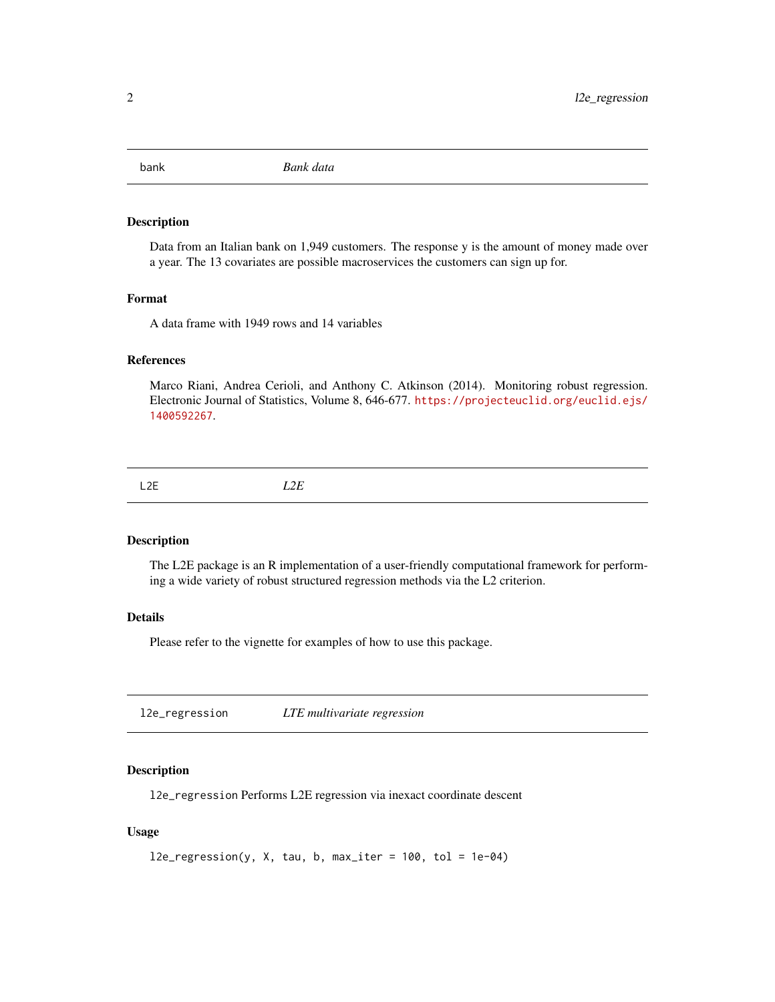<span id="page-1-0"></span>

## **Description**

Data from an Italian bank on 1,949 customers. The response y is the amount of money made over a year. The 13 covariates are possible macroservices the customers can sign up for.

## Format

A data frame with 1949 rows and 14 variables

#### References

Marco Riani, Andrea Cerioli, and Anthony C. Atkinson (2014). Monitoring robust regression. Electronic Journal of Statistics, Volume 8, 646-677. [https://projecteuclid.org/euclid.ejs/](https://projecteuclid.org/euclid.ejs/1400592267) [1400592267](https://projecteuclid.org/euclid.ejs/1400592267).

L2E *L2E*

#### Description

The L2E package is an R implementation of a user-friendly computational framework for performing a wide variety of robust structured regression methods via the L2 criterion.

#### Details

Please refer to the vignette for examples of how to use this package.

l2e\_regression *LTE multivariate regression*

#### Description

l2e\_regression Performs L2E regression via inexact coordinate descent

#### Usage

```
l2e_{regression}(y, X, tau, b, max_{iter} = 100, tol = 1e-04)
```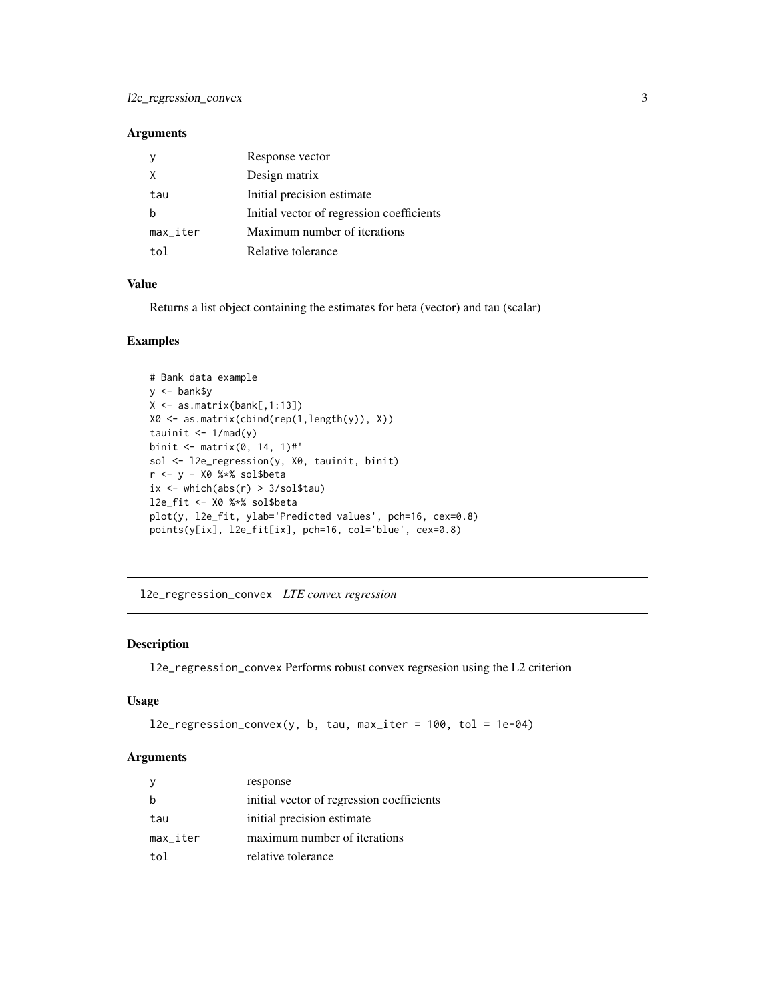## <span id="page-2-0"></span>Arguments

|          | Response vector                           |
|----------|-------------------------------------------|
| X        | Design matrix                             |
| tau      | Initial precision estimate                |
| h        | Initial vector of regression coefficients |
| max_iter | Maximum number of iterations              |
| t∩l      | Relative tolerance                        |

## Value

Returns a list object containing the estimates for beta (vector) and tau (scalar)

## Examples

```
# Bank data example
y <- bank$y
X \leftarrow \text{as_matrix}(\text{bank[, 1:13]})X0 <- as.matrix(cbind(rep(1,length(y)), X))
tauinit \leq -1/\text{mad}(y)binit <- matrix(0, 14, 1)#'
sol <- l2e_regression(y, X0, tauinit, binit)
r <- y - X0 %*% sol$beta
ix <- which(abs(r) > 3/sol$tau)
l2e_fit <- X0 %*% sol$beta
plot(y, l2e_fit, ylab='Predicted values', pch=16, cex=0.8)
points(y[ix], l2e_fit[ix], pch=16, col='blue', cex=0.8)
```
l2e\_regression\_convex *LTE convex regression*

#### Description

l2e\_regression\_convex Performs robust convex regrsesion using the L2 criterion

#### Usage

```
l2e_regression_convex(y, b, tau, max_iter = 100, tol = 1e-04)
```
## Arguments

|                        | response                                  |
|------------------------|-------------------------------------------|
|                        | initial vector of regression coefficients |
| tau                    | initial precision estimate                |
| $max$ <sub>Liter</sub> | maximum number of iterations              |
| tol                    | relative tolerance                        |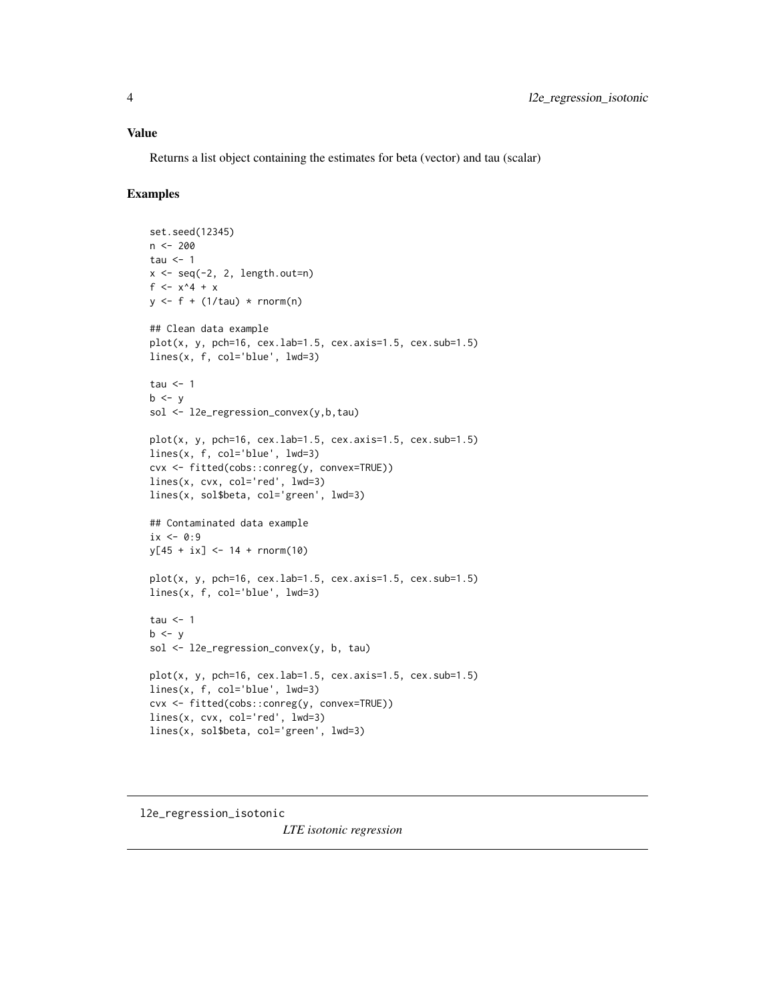#### <span id="page-3-0"></span>Value

Returns a list object containing the estimates for beta (vector) and tau (scalar)

## Examples

```
set.seed(12345)
n <- 200
tau \leq -1x \leftarrow \text{seq}(-2, 2, \text{length.out=n})f <- x^4 + xy \leq-f + (1/tau) \cdot rnorm(n)## Clean data example
plot(x, y, pch=16, cex.lab=1.5, cex.axis=1.5, cex.sub=1.5)lines(x, f, col='blue', lwd=3)
tau <-1b \le ysol <- l2e_regression_convex(y,b,tau)
plot(x, y, pch=16, cex.lab=1.5, cex.axis=1.5, cex.sub=1.5)lines(x, f, col='blue', lwd=3)
cvx <- fitted(cobs::conreg(y, convex=TRUE))
lines(x, cvx, col='red', lwd=3)
lines(x, sol$beta, col='green', lwd=3)
## Contaminated data example
ix \leftarrow 0:9y[45 + ix] < -14 + rnorm(10)plot(x, y, pch=16, cex.lab=1.5, cex.axis=1.5, cex.sub=1.5)
lines(x, f, col='blue', lwd=3)
tau <-1b \le ysol <- l2e_regression_convex(y, b, tau)
plot(x, y, pch=16, cex.lab=1.5, cex.axis=1.5, cex.sub=1.5)
lines(x, f, col='blue', lwd=3)
cvx <- fitted(cobs::conreg(y, convex=TRUE))
lines(x, cvx, col='red', lwd=3)
lines(x, sol$beta, col='green', lwd=3)
```
l2e\_regression\_isotonic

*LTE isotonic regression*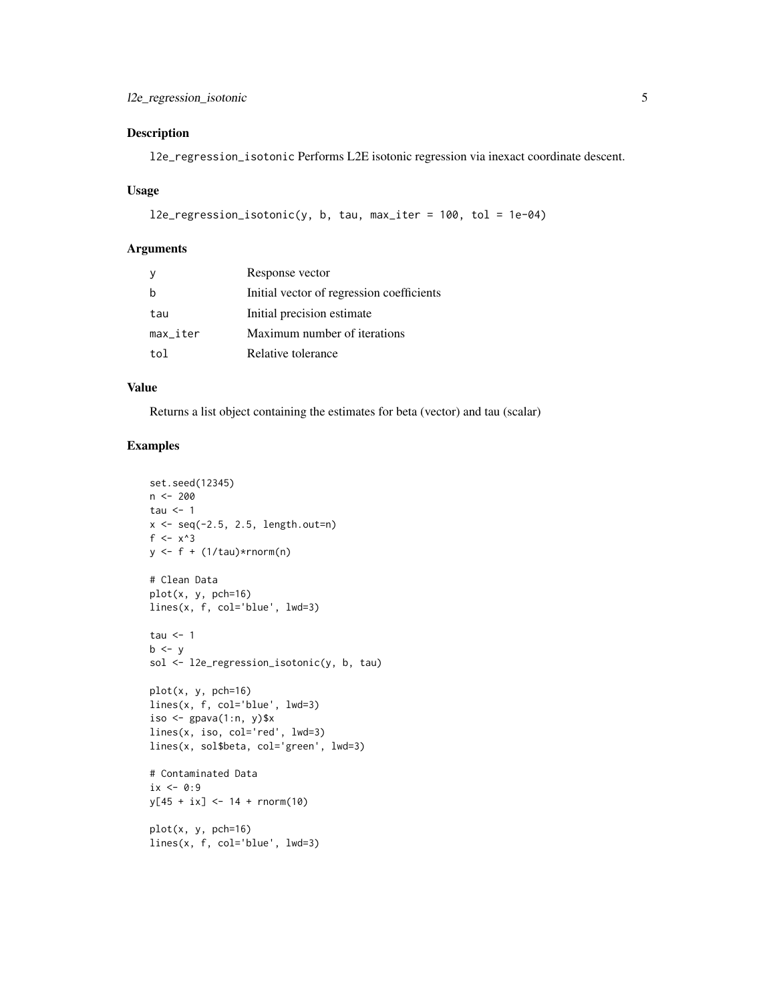## Description

l2e\_regression\_isotonic Performs L2E isotonic regression via inexact coordinate descent.

#### Usage

```
l2e_regression_isotonic(y, b, tau, max_iter = 100, tol = 1e-04)
```
#### Arguments

|                        | Response vector                           |
|------------------------|-------------------------------------------|
|                        | Initial vector of regression coefficients |
| tau                    | Initial precision estimate                |
| $max$ <sub>Liter</sub> | Maximum number of iterations              |
| tol                    | Relative tolerance                        |

#### Value

Returns a list object containing the estimates for beta (vector) and tau (scalar)

## Examples

```
set.seed(12345)
n <- 200
tau <-1x \le - seq(-2.5, 2.5, length.out=n)
f \leq -x^3y \leftarrow f + (1/tau) * rnorm(n)# Clean Data
plot(x, y, pch=16)lines(x, f, col='blue', lwd=3)
tau \leq -1b \le ysol <- l2e_regression_isotonic(y, b, tau)
plot(x, y, pch=16)
lines(x, f, col='blue', lwd=3)
iso \leq gpava(1:n, y)$x
lines(x, iso, col='red', lwd=3)
lines(x, sol$beta, col='green', lwd=3)
# Contaminated Data
ix \leftarrow 0:9y[45 + ix] < -14 + rnorm(10)plot(x, y, pch=16)
```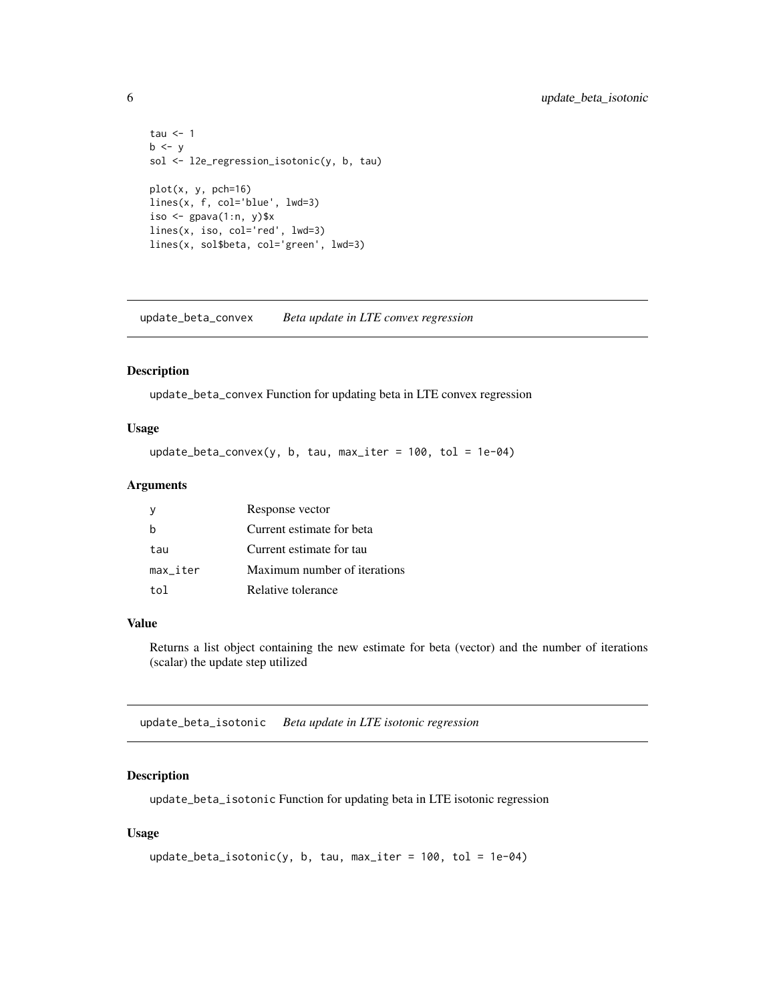```
tau <-1b \le ysol <- l2e_regression_isotonic(y, b, tau)
plot(x, y, pch=16)
lines(x, f, col='blue', lwd=3)
iso \leq gpava(1:n, y)$x
lines(x, iso, col='red', lwd=3)
lines(x, sol$beta, col='green', lwd=3)
```
update\_beta\_convex *Beta update in LTE convex regression*

#### Description

update\_beta\_convex Function for updating beta in LTE convex regression

## Usage

update\_beta\_convex(y, b, tau, max\_iter = 100, tol = 1e-04)

## Arguments

|          | Response vector              |
|----------|------------------------------|
|          | Current estimate for beta    |
| tau      | Current estimate for tau     |
| max iter | Maximum number of iterations |
| to1.     | Relative tolerance           |

#### Value

Returns a list object containing the new estimate for beta (vector) and the number of iterations (scalar) the update step utilized

update\_beta\_isotonic *Beta update in LTE isotonic regression*

## Description

update\_beta\_isotonic Function for updating beta in LTE isotonic regression

#### Usage

```
update_beta_isotonic(y, b, tau, max_iter = 100, tol = 1e-04)
```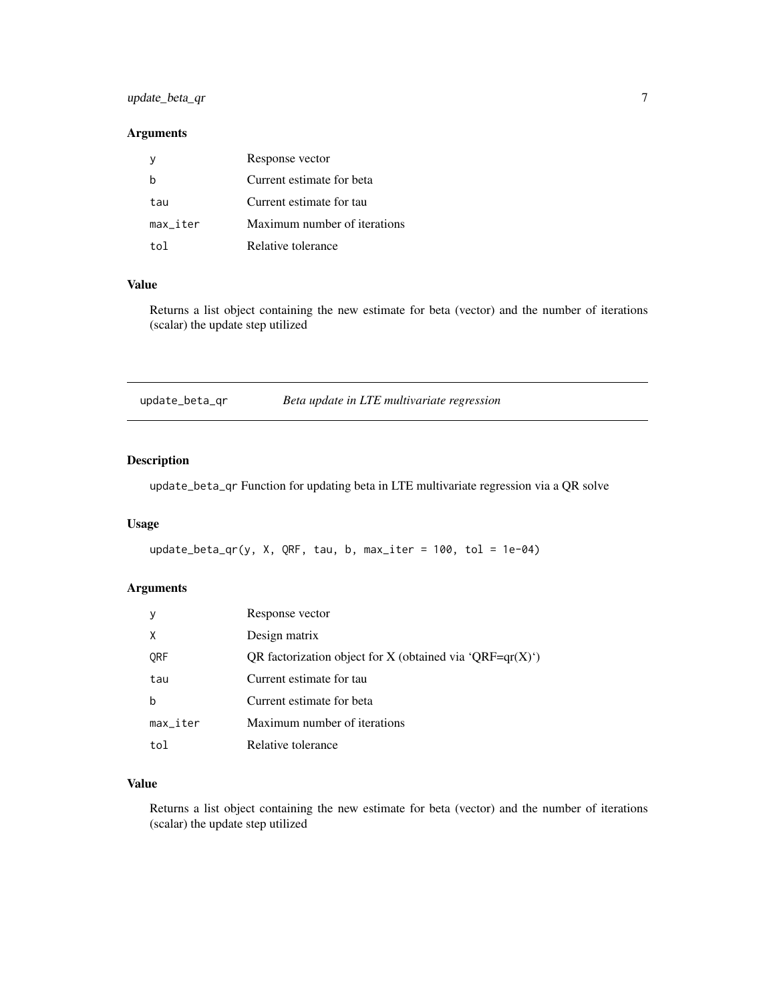## <span id="page-6-0"></span>update\_beta\_qr 7

## Arguments

|                        | Response vector              |
|------------------------|------------------------------|
|                        | Current estimate for beta    |
| tau                    | Current estimate for tau     |
| $max$ <sub>Liter</sub> | Maximum number of iterations |
| to1.                   | Relative tolerance           |

## Value

Returns a list object containing the new estimate for beta (vector) and the number of iterations (scalar) the update step utilized

| update_beta_qr | Beta update in LTE multivariate regression |
|----------------|--------------------------------------------|
|----------------|--------------------------------------------|

## Description

update\_beta\_qr Function for updating beta in LTE multivariate regression via a QR solve

## Usage

```
update_beta_qr(y, X, QRF, tau, b, max_iiter = 100, tol = 1e-04)
```
## Arguments

|                        | Response vector                                                                |
|------------------------|--------------------------------------------------------------------------------|
| X                      | Design matrix                                                                  |
| ORF                    | QR factorization object for X (obtained via $\mathcal{QRF} = qr(X)^{\prime}$ ) |
| tau                    | Current estimate for tau                                                       |
| b                      | Current estimate for beta                                                      |
| $max$ <sub>_iter</sub> | Maximum number of iterations                                                   |
| tol                    | Relative tolerance                                                             |

## Value

Returns a list object containing the new estimate for beta (vector) and the number of iterations (scalar) the update step utilized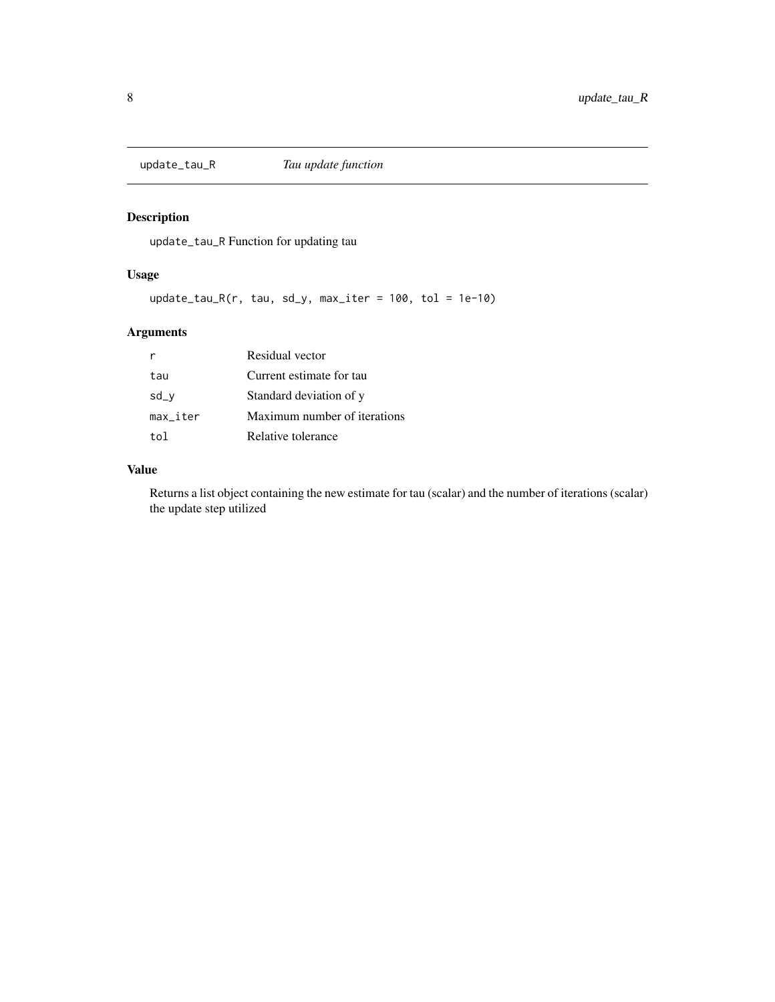<span id="page-7-0"></span>

## Description

update\_tau\_R Function for updating tau

## Usage

update\_tau\_R(r, tau, sd\_y, max\_iter = 100, tol = 1e-10)

## Arguments

| r                      | Residual vector              |
|------------------------|------------------------------|
| tau                    | Current estimate for tau     |
| $sd_v$                 | Standard deviation of y      |
| $max$ <sub>Liter</sub> | Maximum number of iterations |
| tol                    | Relative tolerance           |

## Value

Returns a list object containing the new estimate for tau (scalar) and the number of iterations (scalar) the update step utilized